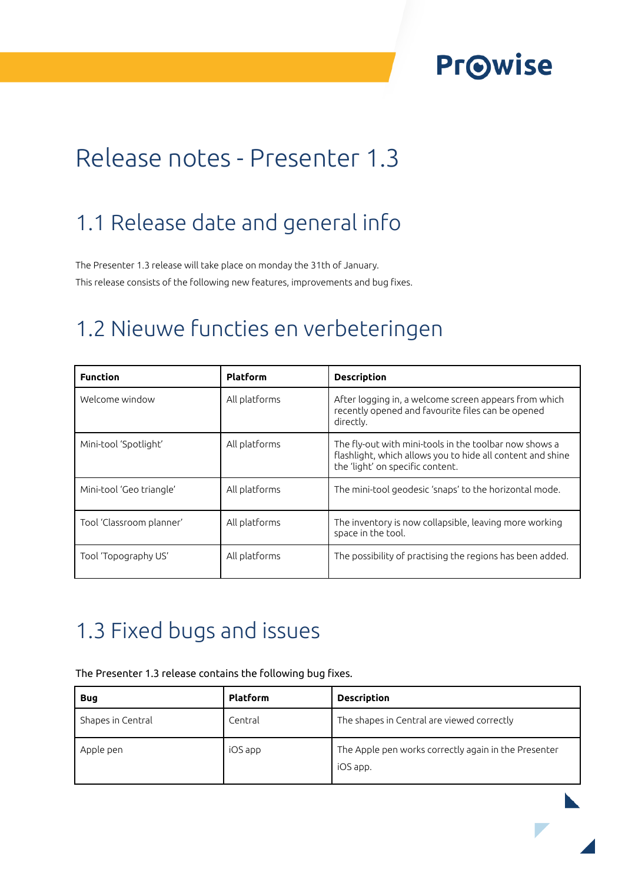## **Pr**Owise

## Release notes - Presenter 1.3

### 1.1 Release date and general info

The Presenter 1.3 release will take place on monday the 31th of January. This release consists of the following new features, improvements and bug fixes.

#### 1.2 Nieuwe functies en verbeteringen

| <b>Function</b>          | <b>Platform</b> | <b>Description</b>                                                                                                                                       |
|--------------------------|-----------------|----------------------------------------------------------------------------------------------------------------------------------------------------------|
| Welcome window           | All platforms   | After logging in, a welcome screen appears from which<br>recently opened and favourite files can be opened<br>directly.                                  |
| Mini-tool 'Spotlight'    | All platforms   | The fly-out with mini-tools in the toolbar now shows a<br>flashlight, which allows you to hide all content and shine<br>the 'light' on specific content. |
| Mini-tool 'Geo triangle' | All platforms   | The mini-tool geodesic 'snaps' to the horizontal mode.                                                                                                   |
| Tool 'Classroom planner' | All platforms   | The inventory is now collapsible, leaving more working<br>space in the tool.                                                                             |
| Tool 'Topography US'     | All platforms   | The possibility of practising the regions has been added.                                                                                                |

#### 1.3 Fixed bugs and issues

| The Presenter 1.3 release contains the following bug fixes. |  |  |  |  |  |
|-------------------------------------------------------------|--|--|--|--|--|
|-------------------------------------------------------------|--|--|--|--|--|

| <b>Bug</b>        | <b>Platform</b> | <b>Description</b>                                               |
|-------------------|-----------------|------------------------------------------------------------------|
| Shapes in Central | Central         | The shapes in Central are viewed correctly                       |
| Apple pen         | iOS app         | The Apple pen works correctly again in the Presenter<br>iOS app. |